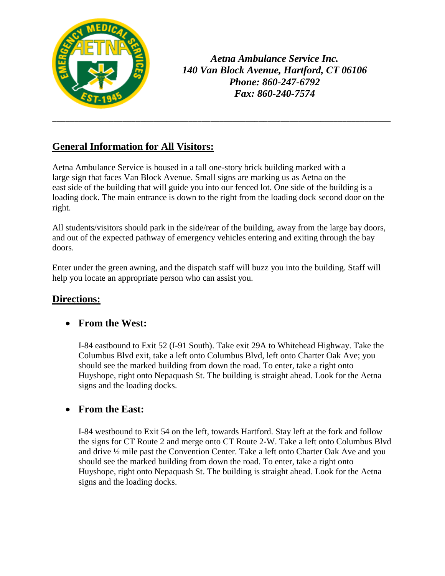

*Aetna Ambulance Service Inc. 140 Van Block Avenue, Hartford, CT 06106 Phone: 860-247-6792 Fax: 860-240-7574*

# **General Information for All Visitors:**

Aetna Ambulance Service is housed in a tall one-story brick building marked with a large sign that faces Van Block Avenue. Small signs are marking us as Aetna on the east side of the building that will guide you into our fenced lot. One side of the building is a loading dock. The main entrance is down to the right from the loading dock second door on the right.

\_\_\_\_\_\_\_\_\_\_\_\_\_\_\_\_\_\_\_\_\_\_\_\_\_\_\_\_\_\_\_\_\_\_\_\_\_\_\_\_\_\_\_\_\_\_\_\_\_\_\_\_\_\_\_\_\_\_\_\_\_\_\_\_\_\_\_\_\_\_\_\_\_\_\_\_\_

All students/visitors should park in the side/rear of the building, away from the large bay doors, and out of the expected pathway of emergency vehicles entering and exiting through the bay doors.

Enter under the green awning, and the dispatch staff will buzz you into the building. Staff will help you locate an appropriate person who can assist you.

## **Directions:**

#### **From the West:**

I-84 eastbound to Exit 52 (I-91 South). Take exit 29A to Whitehead Highway. Take the Columbus Blvd exit, take a left onto Columbus Blvd, left onto Charter Oak Ave; you should see the marked building from down the road. To enter, take a right onto Huyshope, right onto Nepaquash St. The building is straight ahead. Look for the Aetna signs and the loading docks.

#### **From the East:**

I-84 westbound to Exit 54 on the left, towards Hartford. Stay left at the fork and follow the signs for CT Route 2 and merge onto CT Route 2-W. Take a left onto Columbus Blvd and drive ½ mile past the Convention Center. Take a left onto Charter Oak Ave and you should see the marked building from down the road. To enter, take a right onto Huyshope, right onto Nepaquash St. The building is straight ahead. Look for the Aetna signs and the loading docks.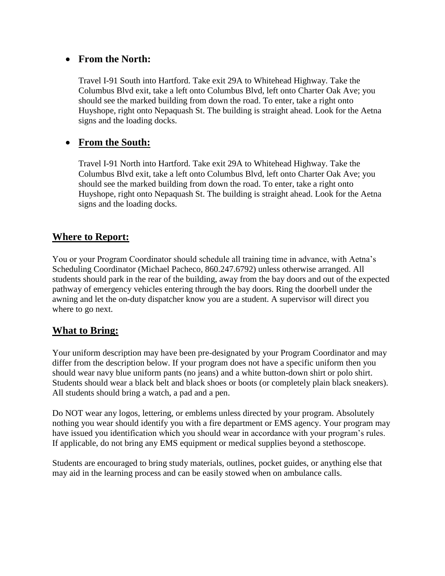#### **From the North:**

Travel I-91 South into Hartford. Take exit 29A to Whitehead Highway. Take the Columbus Blvd exit, take a left onto Columbus Blvd, left onto Charter Oak Ave; you should see the marked building from down the road. To enter, take a right onto Huyshope, right onto Nepaquash St. The building is straight ahead. Look for the Aetna signs and the loading docks.

#### **From the South:**

Travel I-91 North into Hartford. Take exit 29A to Whitehead Highway. Take the Columbus Blvd exit, take a left onto Columbus Blvd, left onto Charter Oak Ave; you should see the marked building from down the road. To enter, take a right onto Huyshope, right onto Nepaquash St. The building is straight ahead. Look for the Aetna signs and the loading docks.

#### **Where to Report:**

You or your Program Coordinator should schedule all training time in advance, with Aetna's Scheduling Coordinator (Michael Pacheco, 860.247.6792) unless otherwise arranged. All students should park in the rear of the building, away from the bay doors and out of the expected pathway of emergency vehicles entering through the bay doors. Ring the doorbell under the awning and let the on-duty dispatcher know you are a student. A supervisor will direct you where to go next.

#### **What to Bring:**

Your uniform description may have been pre-designated by your Program Coordinator and may differ from the description below. If your program does not have a specific uniform then you should wear navy blue uniform pants (no jeans) and a white button-down shirt or polo shirt. Students should wear a black belt and black shoes or boots (or completely plain black sneakers). All students should bring a watch, a pad and a pen.

Do NOT wear any logos, lettering, or emblems unless directed by your program. Absolutely nothing you wear should identify you with a fire department or EMS agency. Your program may have issued you identification which you should wear in accordance with your program's rules. If applicable, do not bring any EMS equipment or medical supplies beyond a stethoscope.

Students are encouraged to bring study materials, outlines, pocket guides, or anything else that may aid in the learning process and can be easily stowed when on ambulance calls.